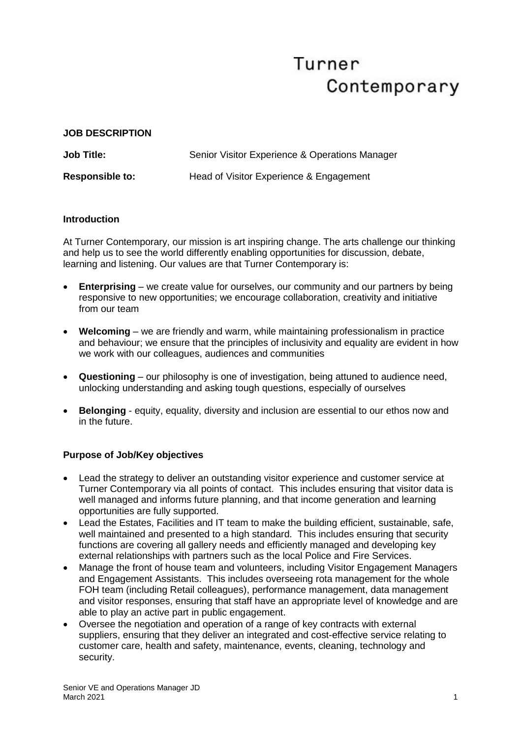# Turner Contemporary

#### **JOB DESCRIPTION**

| <b>Job Title:</b>      | Senior Visitor Experience & Operations Manager |
|------------------------|------------------------------------------------|
| <b>Responsible to:</b> | Head of Visitor Experience & Engagement        |

## **Introduction**

At Turner Contemporary, our mission is art inspiring change. The arts challenge our thinking and help us to see the world differently enabling opportunities for discussion, debate, learning and listening. Our values are that Turner Contemporary is:

- **Enterprising** we create value for ourselves, our community and our partners by being responsive to new opportunities; we encourage collaboration, creativity and initiative from our team
- **Welcoming** we are friendly and warm, while maintaining professionalism in practice and behaviour; we ensure that the principles of inclusivity and equality are evident in how we work with our colleagues, audiences and communities
- **Questioning** our philosophy is one of investigation, being attuned to audience need, unlocking understanding and asking tough questions, especially of ourselves
- **Belonging** equity, equality, diversity and inclusion are essential to our ethos now and in the future.

## **Purpose of Job/Key objectives**

- Lead the strategy to deliver an outstanding visitor experience and customer service at Turner Contemporary via all points of contact. This includes ensuring that visitor data is well managed and informs future planning, and that income generation and learning opportunities are fully supported.
- Lead the Estates, Facilities and IT team to make the building efficient, sustainable, safe, well maintained and presented to a high standard. This includes ensuring that security functions are covering all gallery needs and efficiently managed and developing key external relationships with partners such as the local Police and Fire Services.
- Manage the front of house team and volunteers, including Visitor Engagement Managers and Engagement Assistants. This includes overseeing rota management for the whole FOH team (including Retail colleagues), performance management, data management and visitor responses, ensuring that staff have an appropriate level of knowledge and are able to play an active part in public engagement.
- Oversee the negotiation and operation of a range of key contracts with external suppliers, ensuring that they deliver an integrated and cost-effective service relating to customer care, health and safety, maintenance, events, cleaning, technology and security.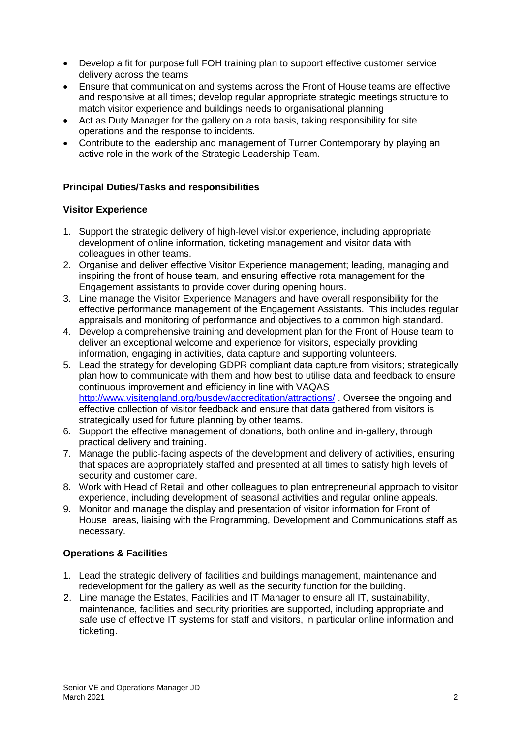- Develop a fit for purpose full FOH training plan to support effective customer service delivery across the teams
- Ensure that communication and systems across the Front of House teams are effective and responsive at all times; develop regular appropriate strategic meetings structure to match visitor experience and buildings needs to organisational planning
- Act as Duty Manager for the gallery on a rota basis, taking responsibility for site operations and the response to incidents.
- Contribute to the leadership and management of Turner Contemporary by playing an active role in the work of the Strategic Leadership Team.

## **Principal Duties/Tasks and responsibilities**

## **Visitor Experience**

- 1. Support the strategic delivery of high-level visitor experience, including appropriate development of online information, ticketing management and visitor data with colleagues in other teams.
- 2. Organise and deliver effective Visitor Experience management; leading, managing and inspiring the front of house team, and ensuring effective rota management for the Engagement assistants to provide cover during opening hours.
- 3. Line manage the Visitor Experience Managers and have overall responsibility for the effective performance management of the Engagement Assistants. This includes regular appraisals and monitoring of performance and objectives to a common high standard.
- 4. Develop a comprehensive training and development plan for the Front of House team to deliver an exceptional welcome and experience for visitors, especially providing information, engaging in activities, data capture and supporting volunteers.
- 5. Lead the strategy for developing GDPR compliant data capture from visitors; strategically plan how to communicate with them and how best to utilise data and feedback to ensure continuous improvement and efficiency in line with VAQAS <http://www.visitengland.org/busdev/accreditation/attractions/> . Oversee the ongoing and effective collection of visitor feedback and ensure that data gathered from visitors is strategically used for future planning by other teams.
- 6. Support the effective management of donations, both online and in-gallery, through practical delivery and training.
- 7. Manage the public-facing aspects of the development and delivery of activities, ensuring that spaces are appropriately staffed and presented at all times to satisfy high levels of security and customer care.
- 8. Work with Head of Retail and other colleagues to plan entrepreneurial approach to visitor experience, including development of seasonal activities and regular online appeals.
- 9. Monitor and manage the display and presentation of visitor information for Front of House areas, liaising with the Programming, Development and Communications staff as necessary.

## **Operations & Facilities**

- 1. Lead the strategic delivery of facilities and buildings management, maintenance and redevelopment for the gallery as well as the security function for the building.
- 2. Line manage the Estates, Facilities and IT Manager to ensure all IT, sustainability, maintenance, facilities and security priorities are supported, including appropriate and safe use of effective IT systems for staff and visitors, in particular online information and ticketing.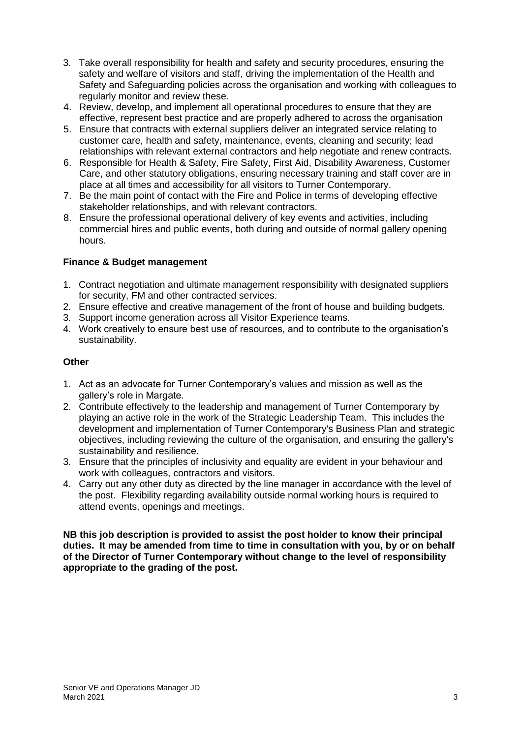- 3. Take overall responsibility for health and safety and security procedures, ensuring the safety and welfare of visitors and staff, driving the implementation of the Health and Safety and Safeguarding policies across the organisation and working with colleagues to regularly monitor and review these.
- 4. Review, develop, and implement all operational procedures to ensure that they are effective, represent best practice and are properly adhered to across the organisation
- 5. Ensure that contracts with external suppliers deliver an integrated service relating to customer care, health and safety, maintenance, events, cleaning and security; lead relationships with relevant external contractors and help negotiate and renew contracts.
- 6. Responsible for Health & Safety, Fire Safety, First Aid, Disability Awareness, Customer Care, and other statutory obligations, ensuring necessary training and staff cover are in place at all times and accessibility for all visitors to Turner Contemporary.
- 7. Be the main point of contact with the Fire and Police in terms of developing effective stakeholder relationships, and with relevant contractors.
- 8. Ensure the professional operational delivery of key events and activities, including commercial hires and public events, both during and outside of normal gallery opening hours.

## **Finance & Budget management**

- 1. Contract negotiation and ultimate management responsibility with designated suppliers for security, FM and other contracted services.
- 2. Ensure effective and creative management of the front of house and building budgets.
- 3. Support income generation across all Visitor Experience teams.
- 4. Work creatively to ensure best use of resources, and to contribute to the organisation's sustainability.

## **Other**

- 1. Act as an advocate for Turner Contemporary's values and mission as well as the gallery's role in Margate.
- 2. Contribute effectively to the leadership and management of Turner Contemporary by playing an active role in the work of the Strategic Leadership Team. This includes the development and implementation of Turner Contemporary's Business Plan and strategic objectives, including reviewing the culture of the organisation, and ensuring the gallery's sustainability and resilience.
- 3. Ensure that the principles of inclusivity and equality are evident in your behaviour and work with colleagues, contractors and visitors.
- 4. Carry out any other duty as directed by the line manager in accordance with the level of the post. Flexibility regarding availability outside normal working hours is required to attend events, openings and meetings.

**NB this job description is provided to assist the post holder to know their principal duties. It may be amended from time to time in consultation with you, by or on behalf of the Director of Turner Contemporary without change to the level of responsibility appropriate to the grading of the post.**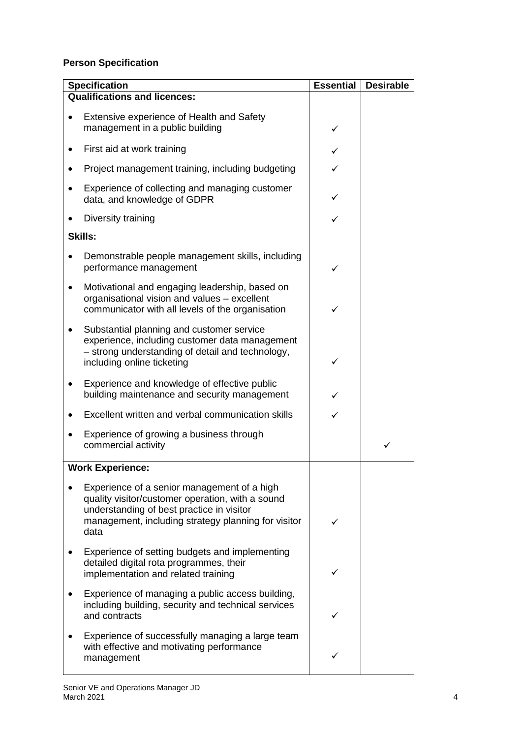## **Person Specification**

| <b>Specification</b>                                                                                                                                                                                        | <b>Essential</b> | <b>Desirable</b> |
|-------------------------------------------------------------------------------------------------------------------------------------------------------------------------------------------------------------|------------------|------------------|
| <b>Qualifications and licences:</b>                                                                                                                                                                         |                  |                  |
| <b>Extensive experience of Health and Safety</b><br>management in a public building                                                                                                                         | ✓                |                  |
| First aid at work training                                                                                                                                                                                  |                  |                  |
| Project management training, including budgeting                                                                                                                                                            |                  |                  |
| Experience of collecting and managing customer<br>data, and knowledge of GDPR                                                                                                                               | ✓                |                  |
| Diversity training                                                                                                                                                                                          | ✓                |                  |
| <b>Skills:</b>                                                                                                                                                                                              |                  |                  |
| Demonstrable people management skills, including<br>performance management                                                                                                                                  |                  |                  |
| Motivational and engaging leadership, based on<br>organisational vision and values - excellent<br>communicator with all levels of the organisation                                                          |                  |                  |
| Substantial planning and customer service<br>experience, including customer data management<br>- strong understanding of detail and technology,<br>including online ticketing                               | ✓                |                  |
| Experience and knowledge of effective public<br>building maintenance and security management                                                                                                                |                  |                  |
| Excellent written and verbal communication skills                                                                                                                                                           |                  |                  |
| Experience of growing a business through<br>commercial activity                                                                                                                                             |                  | ✓                |
| <b>Work Experience:</b>                                                                                                                                                                                     |                  |                  |
| Experience of a senior management of a high<br>quality visitor/customer operation, with a sound<br>understanding of best practice in visitor<br>management, including strategy planning for visitor<br>data |                  |                  |
| Experience of setting budgets and implementing<br>detailed digital rota programmes, their<br>implementation and related training                                                                            |                  |                  |
| Experience of managing a public access building,<br>including building, security and technical services<br>and contracts                                                                                    |                  |                  |
| Experience of successfully managing a large team<br>with effective and motivating performance<br>management                                                                                                 |                  |                  |